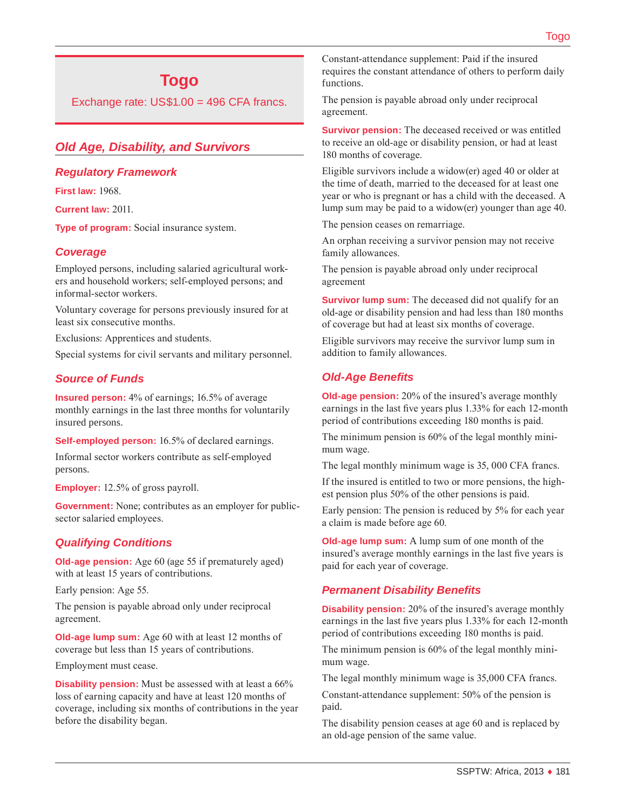# **Togo**

Exchange rate: US\$1.00 = 496 CFA francs.

# *Old Age, Disability, and Survivors*

#### *Regulatory Framework*

**First law:** 1968.

**Current law:** 2011.

**Type of program:** Social insurance system.

## *Coverage*

Employed persons, including salaried agricultural workers and household workers; self-employed persons; and informal-sector workers.

Voluntary coverage for persons previously insured for at least six consecutive months.

Exclusions: Apprentices and students.

Special systems for civil servants and military personnel.

## *Source of Funds*

**Insured person:** 4% of earnings; 16.5% of average monthly earnings in the last three months for voluntarily insured persons.

**Self-employed person:** 16.5% of declared earnings.

Informal sector workers contribute as self-employed persons.

**Employer:** 12.5% of gross payroll.

**Government:** None; contributes as an employer for publicsector salaried employees.

## *Qualifying Conditions*

**Old-age pension:** Age 60 (age 55 if prematurely aged) with at least 15 years of contributions.

Early pension: Age 55.

The pension is payable abroad only under reciprocal agreement.

**Old-age lump sum:** Age 60 with at least 12 months of coverage but less than 15 years of contributions.

Employment must cease.

**Disability pension:** Must be assessed with at least a 66% loss of earning capacity and have at least 120 months of coverage, including six months of contributions in the year before the disability began.

Constant-attendance supplement: Paid if the insured requires the constant attendance of others to perform daily functions.

The pension is payable abroad only under reciprocal agreement.

**Survivor pension:** The deceased received or was entitled to receive an old-age or disability pension, or had at least 180 months of coverage.

Eligible survivors include a widow(er) aged 40 or older at the time of death, married to the deceased for at least one year or who is pregnant or has a child with the deceased. A lump sum may be paid to a widow(er) younger than age 40.

The pension ceases on remarriage.

An orphan receiving a survivor pension may not receive family allowances.

The pension is payable abroad only under reciprocal agreement

**Survivor lump sum:** The deceased did not qualify for an old-age or disability pension and had less than 180 months of coverage but had at least six months of coverage.

Eligible survivors may receive the survivor lump sum in addition to family allowances.

## *Old-Age Benefits*

**Old-age pension:** 20% of the insured's average monthly earnings in the last five years plus 1.33% for each 12-month period of contributions exceeding 180 months is paid.

The minimum pension is 60% of the legal monthly minimum wage.

The legal monthly minimum wage is 35, 000 CFA francs.

If the insured is entitled to two or more pensions, the highest pension plus 50% of the other pensions is paid.

Early pension: The pension is reduced by 5% for each year a claim is made before age 60.

**Old-age lump sum:** A lump sum of one month of the insured's average monthly earnings in the last five years is paid for each year of coverage.

#### *Permanent Disability Benefits*

**Disability pension:** 20% of the insured's average monthly earnings in the last five years plus 1.33% for each 12-month period of contributions exceeding 180 months is paid.

The minimum pension is 60% of the legal monthly minimum wage.

The legal monthly minimum wage is 35,000 CFA francs.

Constant-attendance supplement: 50% of the pension is paid.

The disability pension ceases at age 60 and is replaced by an old-age pension of the same value.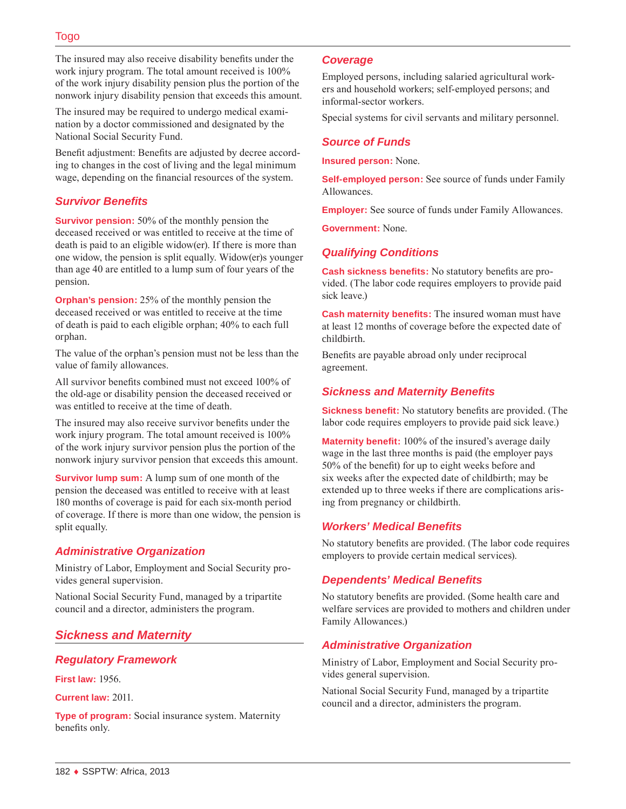The insured may also receive disability benefits under the work injury program. The total amount received is 100% of the work injury disability pension plus the portion of the nonwork injury disability pension that exceeds this amount.

The insured may be required to undergo medical examination by a doctor commissioned and designated by the National Social Security Fund.

Benefit adjustment: Benefits are adjusted by decree according to changes in the cost of living and the legal minimum wage, depending on the financial resources of the system.

## *Survivor Benefits*

**Survivor pension:** 50% of the monthly pension the deceased received or was entitled to receive at the time of death is paid to an eligible widow(er). If there is more than one widow, the pension is split equally. Widow(er)s younger than age 40 are entitled to a lump sum of four years of the pension.

**Orphan's pension:** 25% of the monthly pension the deceased received or was entitled to receive at the time of death is paid to each eligible orphan; 40% to each full orphan.

The value of the orphan's pension must not be less than the value of family allowances.

All survivor benefits combined must not exceed 100% of the old-age or disability pension the deceased received or was entitled to receive at the time of death.

The insured may also receive survivor benefits under the work injury program. The total amount received is 100% of the work injury survivor pension plus the portion of the nonwork injury survivor pension that exceeds this amount.

**Survivor lump sum:** A lump sum of one month of the pension the deceased was entitled to receive with at least 180 months of coverage is paid for each six-month period of coverage. If there is more than one widow, the pension is split equally.

## *Administrative Organization*

Ministry of Labor, Employment and Social Security provides general supervision.

National Social Security Fund, managed by a tripartite council and a director, administers the program.

# *Sickness and Maternity*

## *Regulatory Framework*

**First law:** 1956.

**Current law:** 2011.

**Type of program:** Social insurance system. Maternity benefits only.

#### *Coverage*

Employed persons, including salaried agricultural workers and household workers; self-employed persons; and informal-sector workers.

Special systems for civil servants and military personnel.

## *Source of Funds*

**Insured person:** None.

**Self-employed person:** See source of funds under Family Allowances.

**Employer:** See source of funds under Family Allowances.

**Government:** None.

## *Qualifying Conditions*

**Cash sickness benefits:** No statutory benefits are provided. (The labor code requires employers to provide paid sick leave.)

**Cash maternity benefits:** The insured woman must have at least 12 months of coverage before the expected date of childbirth.

Benefits are payable abroad only under reciprocal agreement.

## *Sickness and Maternity Benefits*

**Sickness benefit:** No statutory benefits are provided. (The labor code requires employers to provide paid sick leave.)

**Maternity benefit:** 100% of the insured's average daily wage in the last three months is paid (the employer pays 50% of the benefit) for up to eight weeks before and six weeks after the expected date of childbirth; may be extended up to three weeks if there are complications arising from pregnancy or childbirth.

## *Workers' Medical Benefits*

No statutory benefits are provided. (The labor code requires employers to provide certain medical services).

## *Dependents' Medical Benefits*

No statutory benefits are provided. (Some health care and welfare services are provided to mothers and children under Family Allowances.)

## *Administrative Organization*

Ministry of Labor, Employment and Social Security provides general supervision.

National Social Security Fund, managed by a tripartite council and a director, administers the program.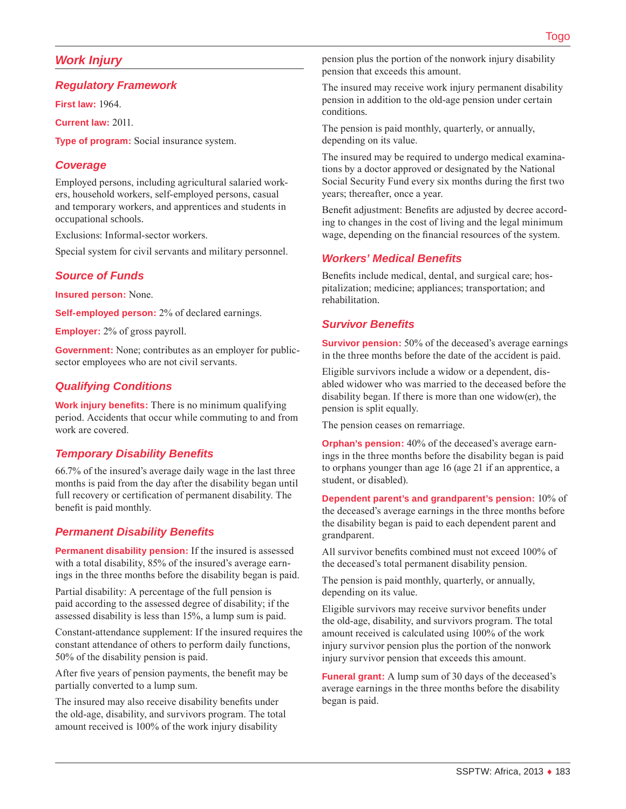## *Work Injury*

#### *Regulatory Framework*

**First law:** 1964.

**Current law:** 2011.

**Type of program:** Social insurance system.

#### *Coverage*

Employed persons, including agricultural salaried workers, household workers, self-employed persons, casual and temporary workers, and apprentices and students in occupational schools.

Exclusions: Informal-sector workers.

Special system for civil servants and military personnel.

## *Source of Funds*

**Insured person:** None.

**Self-employed person:** 2% of declared earnings.

**Employer:** 2% of gross payroll.

**Government:** None; contributes as an employer for publicsector employees who are not civil servants.

## *Qualifying Conditions*

**Work injury benefits:** There is no minimum qualifying period. Accidents that occur while commuting to and from work are covered.

#### *Temporary Disability Benefits*

66.7% of the insured's average daily wage in the last three months is paid from the day after the disability began until full recovery or certification of permanent disability. The benefit is paid monthly.

## *Permanent Disability Benefits*

**Permanent disability pension:** If the insured is assessed with a total disability, 85% of the insured's average earnings in the three months before the disability began is paid.

Partial disability: A percentage of the full pension is paid according to the assessed degree of disability; if the assessed disability is less than 15%, a lump sum is paid.

Constant-attendance supplement: If the insured requires the constant attendance of others to perform daily functions, 50% of the disability pension is paid.

After five years of pension payments, the benefit may be partially converted to a lump sum.

The insured may also receive disability benefits under the old-age, disability, and survivors program. The total amount received is 100% of the work injury disability

pension plus the portion of the nonwork injury disability pension that exceeds this amount.

The insured may receive work injury permanent disability pension in addition to the old-age pension under certain conditions.

The pension is paid monthly, quarterly, or annually, depending on its value.

The insured may be required to undergo medical examinations by a doctor approved or designated by the National Social Security Fund every six months during the first two years; thereafter, once a year.

Benefit adjustment: Benefits are adjusted by decree according to changes in the cost of living and the legal minimum wage, depending on the financial resources of the system.

#### *Workers' Medical Benefits*

Benefits include medical, dental, and surgical care; hospitalization; medicine; appliances; transportation; and rehabilitation.

#### *Survivor Benefits*

**Survivor pension:** 50% of the deceased's average earnings in the three months before the date of the accident is paid.

Eligible survivors include a widow or a dependent, disabled widower who was married to the deceased before the disability began. If there is more than one widow(er), the pension is split equally.

The pension ceases on remarriage.

**Orphan's pension:** 40% of the deceased's average earnings in the three months before the disability began is paid to orphans younger than age 16 (age 21 if an apprentice, a student, or disabled).

**Dependent parent's and grandparent's pension:** 10% of the deceased's average earnings in the three months before the disability began is paid to each dependent parent and grandparent.

All survivor benefits combined must not exceed 100% of the deceased's total permanent disability pension.

The pension is paid monthly, quarterly, or annually, depending on its value.

Eligible survivors may receive survivor benefits under the old-age, disability, and survivors program. The total amount received is calculated using 100% of the work injury survivor pension plus the portion of the nonwork injury survivor pension that exceeds this amount.

**Funeral grant:** A lump sum of 30 days of the deceased's average earnings in the three months before the disability began is paid.